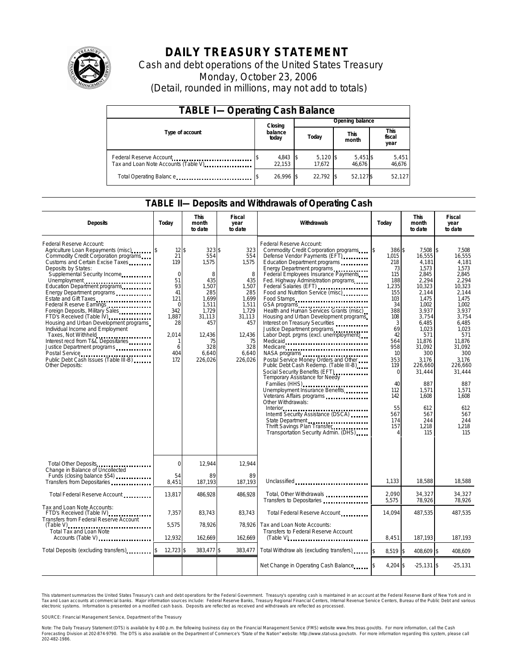

# **DAILY TREASURY STATEMENT**

Cash and debt operations of the United States Treasury Monday, October 23, 2006 (Detail, rounded in millions, may not add to totals)

| <b>TABLE I-Operating Cash Balance</b> |  |                    |  |                      |  |                      |  |                        |
|---------------------------------------|--|--------------------|--|----------------------|--|----------------------|--|------------------------|
|                                       |  | Closing            |  |                      |  | Opening balance      |  |                        |
| Type of account                       |  | balance<br>today   |  | Today                |  | <b>This</b><br>month |  | This<br>fiscal<br>year |
| Tax and Loan Note Accounts (Table V)  |  | 4,843 \$<br>22.153 |  | $5,120$ \$<br>17.672 |  | $5,451$ \$<br>46.676 |  | 5,451<br>46,676        |
| Total Operating Balance               |  | 26.996 \$          |  | 22.792 \$            |  | 52.127\$             |  | 52,127                 |

### **TABLE II—Deposits and Withdrawals of Operating Cash**

| <b>Deposits</b>                                                                                                                                                                                                                                                                                                                                                                                                                                                                                                                                                                                                                                                                      | Today                                                                                                                              | <b>This</b><br>month<br>to date                                                                                                             | Fiscal<br>year<br>to date                                                                                                              | Withdrawals                                                                                                                                                                                                                                                                                                                                                                                                                                                                                                                                                                                                                                                                                                                                                                                                                                                                                                                             | Today                                                                                                                                                                                                       | <b>This</b><br>month<br>to date                                                                                                                                                                                                                            | <b>Fiscal</b><br>year<br>to date                                                                                                                                                                                                                                 |
|--------------------------------------------------------------------------------------------------------------------------------------------------------------------------------------------------------------------------------------------------------------------------------------------------------------------------------------------------------------------------------------------------------------------------------------------------------------------------------------------------------------------------------------------------------------------------------------------------------------------------------------------------------------------------------------|------------------------------------------------------------------------------------------------------------------------------------|---------------------------------------------------------------------------------------------------------------------------------------------|----------------------------------------------------------------------------------------------------------------------------------------|-----------------------------------------------------------------------------------------------------------------------------------------------------------------------------------------------------------------------------------------------------------------------------------------------------------------------------------------------------------------------------------------------------------------------------------------------------------------------------------------------------------------------------------------------------------------------------------------------------------------------------------------------------------------------------------------------------------------------------------------------------------------------------------------------------------------------------------------------------------------------------------------------------------------------------------------|-------------------------------------------------------------------------------------------------------------------------------------------------------------------------------------------------------------|------------------------------------------------------------------------------------------------------------------------------------------------------------------------------------------------------------------------------------------------------------|------------------------------------------------------------------------------------------------------------------------------------------------------------------------------------------------------------------------------------------------------------------|
| Federal Reserve Account:<br>Agriculture Loan Repayments (misc)<br>Commodity Credit Corporation programs<br>Customs and Certain Excise Taxes<br>Deposits by States:<br>Supplemental Security Income<br>Unemployment<br>Education Department programs<br>Energy Department programs<br>Estate and Gift Taxes<br>Federal Reserve Earnings<br>Foreign Deposits, Military Sales<br>FTD's Received (Table IV) <b>[19]</b> FTD's Received (Table IV)<br>Housing and Urban Development programs<br>Individual Income and Employment<br>Taxes, Not Withheld<br>Interest recd from T&L Depositaries<br>Justice Department programs<br>Public Debt Cash Issues (Table III-B)<br>Other Deposits: | $12$ \$<br>21<br>119<br>$\mathbf 0$<br>51<br>93<br>41<br>121<br>$\mathbf 0$<br>342<br>1,887<br>28<br>2,014<br>1<br>6<br>404<br>172 | $323$ \$<br>554<br>1,575<br>8<br>435<br>1,507<br>285<br>1.699<br>1.511<br>1,729<br>31,113<br>457<br>12,436<br>75<br>328<br>6.640<br>226.026 | 323<br>554<br>1,575<br>8<br>435<br>1,507<br>285<br>1.699<br>1,511<br>1,729<br>31,113<br>457<br>12,436<br>75<br>328<br>6.640<br>226.026 | Federal Reserve Account:<br>Commodity Credit Corporation programs \$<br>Defense Vendor Payments (EFT)<br>Education Department programs<br>Energy Department programs<br>Federal Employees Insurance Payments<br>Fed. Highway Administration programs<br>Federal Salaries (EFT)<br>Food and Nutrition Service (misc)<br>Food Stamps<br>Health and Human Services Grants (misc)<br>Housing and Urban Development programs<br>Interest on Treasury Securities<br>Justice Department programs<br>Labor Dept. prgms (excl. unemployment)<br>Medicaid<br>Medicare<br>NASA programs<br>Postal Service Money Orders and Other<br>Public Debt Cash Redemp. (Table III-B)<br>Social Security Benefits (EFT)<br>Temporary Assistance for Needy<br>Families (HHS)<br>Unemployment Insurance Benefits<br>Veterans Affairs programs<br>Other Withdrawals:<br>State Department<br>Thrift Savings Plan Transfer<br>Transportation Security Admin. (DHS) | 386 \$<br>1,015<br>218<br>73<br>115<br>188<br>1,235<br>155<br>103<br>34<br>388<br>108<br>3<br>69<br>42<br>564<br>958<br>10<br>353<br>119<br>$\mathbf 0$<br>40<br>112<br>142<br>55<br>567<br>174<br>157<br>4 | 7.508<br>16,555<br>4,181<br>1,573<br>2,845<br>2.294<br>10,323<br>2,144<br>1.475<br>1.002<br>3,937<br>3,754<br>6,485<br>1,023<br>571<br>11.876<br>31.092<br>300<br>3.176<br>226,660<br>31,444<br>887<br>1,571<br>1.608<br>612<br>567<br>244<br>1,218<br>115 | \$<br>7.508<br>16,555<br>4,181<br>1,573<br>2,845<br>2.294<br>10,323<br>2.144<br>1.475<br>1.002<br>3.937<br>3,754<br>6,485<br>1.023<br>571<br>11.876<br>31.092<br>300<br>3.176<br>226,660<br>31,444<br>887<br>1,571<br>1.608<br>612<br>567<br>244<br>1,218<br>115 |
| Total Other Deposits<br><br>Change in Balance of Uncollected                                                                                                                                                                                                                                                                                                                                                                                                                                                                                                                                                                                                                         | $\mathbf 0$                                                                                                                        | 12.944                                                                                                                                      | 12.944                                                                                                                                 |                                                                                                                                                                                                                                                                                                                                                                                                                                                                                                                                                                                                                                                                                                                                                                                                                                                                                                                                         |                                                                                                                                                                                                             |                                                                                                                                                                                                                                                            |                                                                                                                                                                                                                                                                  |
| Funds (closing balance \$54)<br>Transfers from Depositaries                                                                                                                                                                                                                                                                                                                                                                                                                                                                                                                                                                                                                          | 54<br>8,451                                                                                                                        | 89<br>187,193                                                                                                                               | 89<br>187,193                                                                                                                          | Unclassified                                                                                                                                                                                                                                                                                                                                                                                                                                                                                                                                                                                                                                                                                                                                                                                                                                                                                                                            | 1,133                                                                                                                                                                                                       | 18,588                                                                                                                                                                                                                                                     | 18,588                                                                                                                                                                                                                                                           |
| Total Federal Reserve Account                                                                                                                                                                                                                                                                                                                                                                                                                                                                                                                                                                                                                                                        | 13,817                                                                                                                             | 486,928                                                                                                                                     | 486,928                                                                                                                                | Total, Other Withdrawals<br>Transfers to Depositaries                                                                                                                                                                                                                                                                                                                                                                                                                                                                                                                                                                                                                                                                                                                                                                                                                                                                                   | 2.090<br>5,575                                                                                                                                                                                              | 34,327<br>78,926                                                                                                                                                                                                                                           | 34,327<br>78,926                                                                                                                                                                                                                                                 |
| Tax and Loan Note Accounts:<br>FTD's Received (Table IV)<br><br>Transfers from Federal Reserve Account                                                                                                                                                                                                                                                                                                                                                                                                                                                                                                                                                                               | 7.357                                                                                                                              | 83,743                                                                                                                                      | 83,743                                                                                                                                 | Total Federal Reserve Account                                                                                                                                                                                                                                                                                                                                                                                                                                                                                                                                                                                                                                                                                                                                                                                                                                                                                                           | 14.094                                                                                                                                                                                                      | 487,535                                                                                                                                                                                                                                                    | 487,535                                                                                                                                                                                                                                                          |
| <b>Total Tax and Loan Note</b><br>Accounts (Table V)                                                                                                                                                                                                                                                                                                                                                                                                                                                                                                                                                                                                                                 | 5,575<br>12,932                                                                                                                    | 78,926<br>162.669                                                                                                                           | 78.926<br>162,669                                                                                                                      | Tax and Loan Note Accounts:<br>Transfers to Federal Reserve Account                                                                                                                                                                                                                                                                                                                                                                                                                                                                                                                                                                                                                                                                                                                                                                                                                                                                     | 8.451                                                                                                                                                                                                       | 187.193                                                                                                                                                                                                                                                    | 187.193                                                                                                                                                                                                                                                          |
| Total Deposits (excluding transfers)                                                                                                                                                                                                                                                                                                                                                                                                                                                                                                                                                                                                                                                 | $12,723$ \$                                                                                                                        | 383,477 \$                                                                                                                                  | 383,477                                                                                                                                | Total Withdraw als (excluding transfers)                                                                                                                                                                                                                                                                                                                                                                                                                                                                                                                                                                                                                                                                                                                                                                                                                                                                                                | 8,519 \$                                                                                                                                                                                                    | 408,609 \$                                                                                                                                                                                                                                                 | 408,609                                                                                                                                                                                                                                                          |
|                                                                                                                                                                                                                                                                                                                                                                                                                                                                                                                                                                                                                                                                                      |                                                                                                                                    |                                                                                                                                             |                                                                                                                                        | Net Change in Operating Cash Balance                                                                                                                                                                                                                                                                                                                                                                                                                                                                                                                                                                                                                                                                                                                                                                                                                                                                                                    | 4,204 \$                                                                                                                                                                                                    | $-25,131$ \$                                                                                                                                                                                                                                               | $-25,131$                                                                                                                                                                                                                                                        |

This statement summarizes the United States Treasury's cash and debt operations for the Federal Government. Treasury's operating cash is maintained in an account at the Federal Reserve Bank of New York and in Tax and Loan accounts at commercial banks. Major information sources include: Federal Reserve Banks, Treasury Regional Financial Centers, Internal Revenue Service Centers, Bureau of the Public Debt and various<br>electronic s

SOURCE: Financial Management Service, Department of the Treasury

Note: The Daily Treasury Statement (DTS) is available by 4:00 p.m. the following business day on the Financial Management Service (FMS) website www.fms.treas.gov/dts.<br>Forecasting Division at 202-874-9790. The DTS is also a 'S) is available by 4:00 p.m. the following business day on the Financial Management Service (FMS) website www.fms.treas.gov/dts. For more information, call the Cash<br>The DTS is also available on the Department of Commerce'